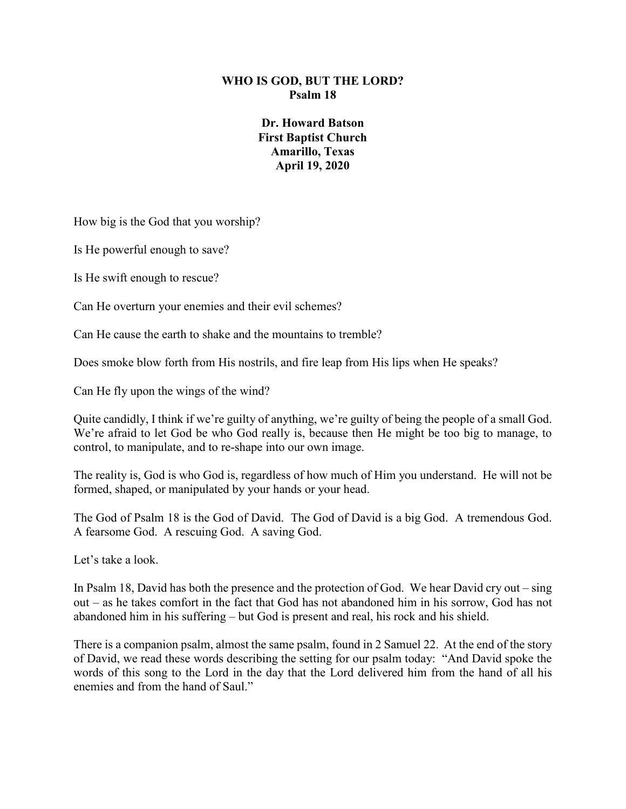#### **WHO IS GOD, BUT THE LORD? Psalm 18**

#### **Dr. Howard Batson First Baptist Church Amarillo, Texas April 19, 2020**

How big is the God that you worship?

Is He powerful enough to save?

Is He swift enough to rescue?

Can He overturn your enemies and their evil schemes?

Can He cause the earth to shake and the mountains to tremble?

Does smoke blow forth from His nostrils, and fire leap from His lips when He speaks?

Can He fly upon the wings of the wind?

Quite candidly, I think if we're guilty of anything, we're guilty of being the people of a small God. We're afraid to let God be who God really is, because then He might be too big to manage, to control, to manipulate, and to re-shape into our own image.

The reality is, God is who God is, regardless of how much of Him you understand. He will not be formed, shaped, or manipulated by your hands or your head.

The God of Psalm 18 is the God of David. The God of David is a big God. A tremendous God. A fearsome God. A rescuing God. A saving God.

Let's take a look.

In Psalm 18, David has both the presence and the protection of God. We hear David cry out – sing out – as he takes comfort in the fact that God has not abandoned him in his sorrow, God has not abandoned him in his suffering – but God is present and real, his rock and his shield.

There is a companion psalm, almost the same psalm, found in 2 Samuel 22. At the end of the story of David, we read these words describing the setting for our psalm today: "And David spoke the words of this song to the Lord in the day that the Lord delivered him from the hand of all his enemies and from the hand of Saul."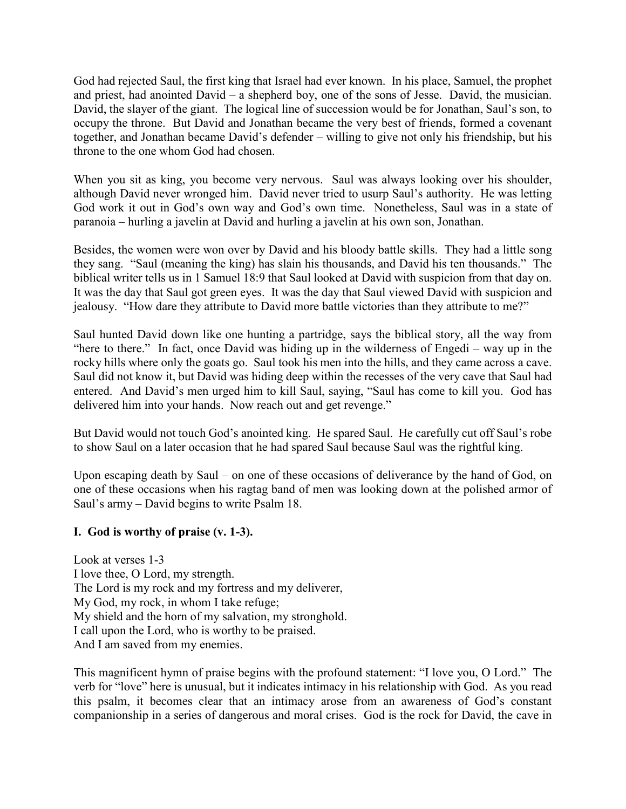God had rejected Saul, the first king that Israel had ever known. In his place, Samuel, the prophet and priest, had anointed David – a shepherd boy, one of the sons of Jesse. David, the musician. David, the slayer of the giant. The logical line of succession would be for Jonathan, Saul's son, to occupy the throne. But David and Jonathan became the very best of friends, formed a covenant together, and Jonathan became David's defender – willing to give not only his friendship, but his throne to the one whom God had chosen.

When you sit as king, you become very nervous. Saul was always looking over his shoulder, although David never wronged him. David never tried to usurp Saul's authority. He was letting God work it out in God's own way and God's own time. Nonetheless, Saul was in a state of paranoia – hurling a javelin at David and hurling a javelin at his own son, Jonathan.

Besides, the women were won over by David and his bloody battle skills. They had a little song they sang. "Saul (meaning the king) has slain his thousands, and David his ten thousands." The biblical writer tells us in 1 Samuel 18:9 that Saul looked at David with suspicion from that day on. It was the day that Saul got green eyes. It was the day that Saul viewed David with suspicion and jealousy. "How dare they attribute to David more battle victories than they attribute to me?"

Saul hunted David down like one hunting a partridge, says the biblical story, all the way from "here to there." In fact, once David was hiding up in the wilderness of Engedi – way up in the rocky hills where only the goats go. Saul took his men into the hills, and they came across a cave. Saul did not know it, but David was hiding deep within the recesses of the very cave that Saul had entered. And David's men urged him to kill Saul, saying, "Saul has come to kill you. God has delivered him into your hands. Now reach out and get revenge."

But David would not touch God's anointed king. He spared Saul. He carefully cut off Saul's robe to show Saul on a later occasion that he had spared Saul because Saul was the rightful king.

Upon escaping death by Saul – on one of these occasions of deliverance by the hand of God, on one of these occasions when his ragtag band of men was looking down at the polished armor of Saul's army – David begins to write Psalm 18.

# **I. God is worthy of praise (v. 1-3).**

Look at verses 1-3 I love thee, O Lord, my strength. The Lord is my rock and my fortress and my deliverer, My God, my rock, in whom I take refuge; My shield and the horn of my salvation, my stronghold. I call upon the Lord, who is worthy to be praised. And I am saved from my enemies.

This magnificent hymn of praise begins with the profound statement: "I love you, O Lord." The verb for "love" here is unusual, but it indicates intimacy in his relationship with God. As you read this psalm, it becomes clear that an intimacy arose from an awareness of God's constant companionship in a series of dangerous and moral crises. God is the rock for David, the cave in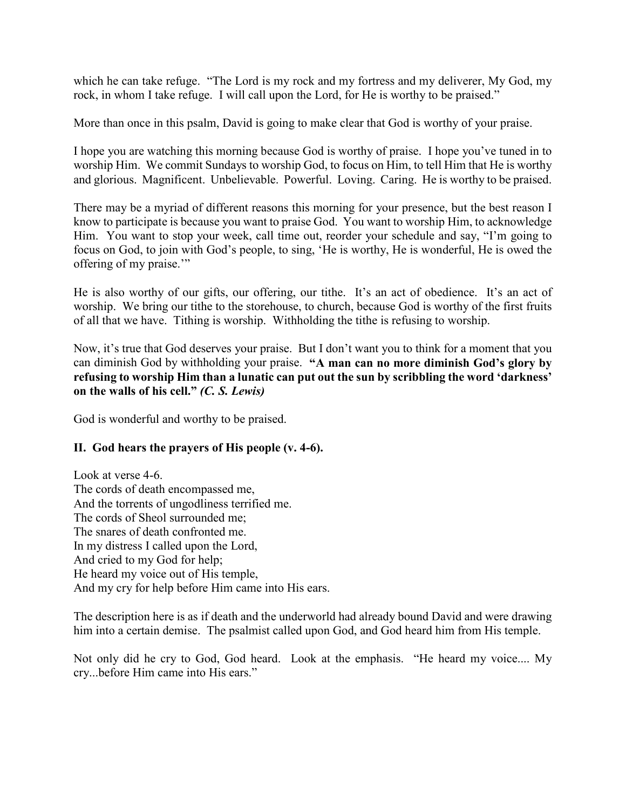which he can take refuge. "The Lord is my rock and my fortress and my deliverer, My God, my rock, in whom I take refuge. I will call upon the Lord, for He is worthy to be praised."

More than once in this psalm, David is going to make clear that God is worthy of your praise.

I hope you are watching this morning because God is worthy of praise. I hope you've tuned in to worship Him. We commit Sundays to worship God, to focus on Him, to tell Him that He is worthy and glorious. Magnificent. Unbelievable. Powerful. Loving. Caring. He is worthy to be praised.

There may be a myriad of different reasons this morning for your presence, but the best reason I know to participate is because you want to praise God. You want to worship Him, to acknowledge Him. You want to stop your week, call time out, reorder your schedule and say, "I'm going to focus on God, to join with God's people, to sing, 'He is worthy, He is wonderful, He is owed the offering of my praise.'"

He is also worthy of our gifts, our offering, our tithe. It's an act of obedience. It's an act of worship. We bring our tithe to the storehouse, to church, because God is worthy of the first fruits of all that we have. Tithing is worship. Withholding the tithe is refusing to worship.

Now, it's true that God deserves your praise. But I don't want you to think for a moment that you can diminish God by withholding your praise. **"A man can no more diminish God's glory by refusing to worship Him than a lunatic can put out the sun by scribbling the word 'darkness' on the walls of his cell."** *(C. S. Lewis)*

God is wonderful and worthy to be praised.

# **II. God hears the prayers of His people (v. 4-6).**

Look at verse 4-6. The cords of death encompassed me, And the torrents of ungodliness terrified me. The cords of Sheol surrounded me; The snares of death confronted me. In my distress I called upon the Lord, And cried to my God for help; He heard my voice out of His temple, And my cry for help before Him came into His ears.

The description here is as if death and the underworld had already bound David and were drawing him into a certain demise. The psalmist called upon God, and God heard him from His temple.

Not only did he cry to God, God heard. Look at the emphasis. "He heard my voice.... My cry...before Him came into His ears."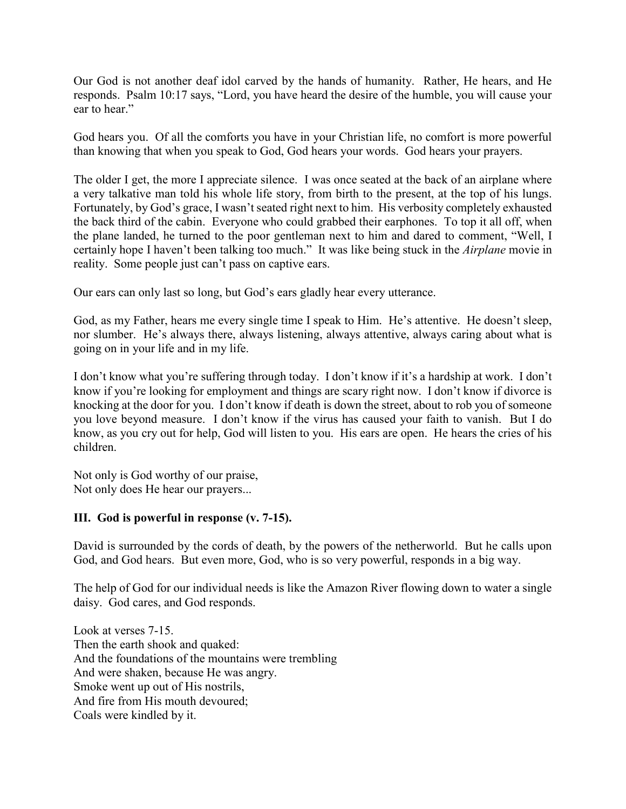Our God is not another deaf idol carved by the hands of humanity. Rather, He hears, and He responds. Psalm 10:17 says, "Lord, you have heard the desire of the humble, you will cause your ear to hear."

God hears you. Of all the comforts you have in your Christian life, no comfort is more powerful than knowing that when you speak to God, God hears your words. God hears your prayers.

The older I get, the more I appreciate silence. I was once seated at the back of an airplane where a very talkative man told his whole life story, from birth to the present, at the top of his lungs. Fortunately, by God's grace, I wasn't seated right next to him. His verbosity completely exhausted the back third of the cabin. Everyone who could grabbed their earphones. To top it all off, when the plane landed, he turned to the poor gentleman next to him and dared to comment, "Well, I certainly hope I haven't been talking too much." It was like being stuck in the *Airplane* movie in reality. Some people just can't pass on captive ears.

Our ears can only last so long, but God's ears gladly hear every utterance.

God, as my Father, hears me every single time I speak to Him. He's attentive. He doesn't sleep, nor slumber. He's always there, always listening, always attentive, always caring about what is going on in your life and in my life.

I don't know what you're suffering through today. I don't know if it's a hardship at work. I don't know if you're looking for employment and things are scary right now. I don't know if divorce is knocking at the door for you. I don't know if death is down the street, about to rob you of someone you love beyond measure. I don't know if the virus has caused your faith to vanish. But I do know, as you cry out for help, God will listen to you. His ears are open. He hears the cries of his children.

Not only is God worthy of our praise, Not only does He hear our prayers...

# **III. God is powerful in response (v. 7-15).**

David is surrounded by the cords of death, by the powers of the netherworld. But he calls upon God, and God hears. But even more, God, who is so very powerful, responds in a big way.

The help of God for our individual needs is like the Amazon River flowing down to water a single daisy. God cares, and God responds.

Look at verses 7-15. Then the earth shook and quaked: And the foundations of the mountains were trembling And were shaken, because He was angry. Smoke went up out of His nostrils, And fire from His mouth devoured; Coals were kindled by it.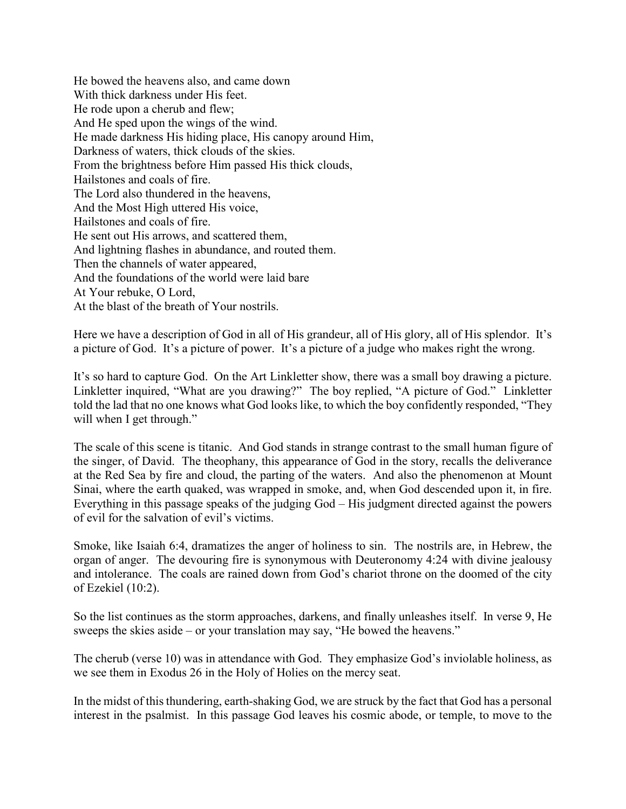He bowed the heavens also, and came down With thick darkness under His feet. He rode upon a cherub and flew; And He sped upon the wings of the wind. He made darkness His hiding place, His canopy around Him, Darkness of waters, thick clouds of the skies. From the brightness before Him passed His thick clouds, Hailstones and coals of fire. The Lord also thundered in the heavens, And the Most High uttered His voice, Hailstones and coals of fire. He sent out His arrows, and scattered them, And lightning flashes in abundance, and routed them. Then the channels of water appeared, And the foundations of the world were laid bare At Your rebuke, O Lord, At the blast of the breath of Your nostrils.

Here we have a description of God in all of His grandeur, all of His glory, all of His splendor. It's a picture of God. It's a picture of power. It's a picture of a judge who makes right the wrong.

It's so hard to capture God. On the Art Linkletter show, there was a small boy drawing a picture. Linkletter inquired, "What are you drawing?" The boy replied, "A picture of God." Linkletter told the lad that no one knows what God looks like, to which the boy confidently responded, "They will when I get through."

The scale of this scene is titanic. And God stands in strange contrast to the small human figure of the singer, of David. The theophany, this appearance of God in the story, recalls the deliverance at the Red Sea by fire and cloud, the parting of the waters. And also the phenomenon at Mount Sinai, where the earth quaked, was wrapped in smoke, and, when God descended upon it, in fire. Everything in this passage speaks of the judging God – His judgment directed against the powers of evil for the salvation of evil's victims.

Smoke, like Isaiah 6:4, dramatizes the anger of holiness to sin. The nostrils are, in Hebrew, the organ of anger. The devouring fire is synonymous with Deuteronomy 4:24 with divine jealousy and intolerance. The coals are rained down from God's chariot throne on the doomed of the city of Ezekiel (10:2).

So the list continues as the storm approaches, darkens, and finally unleashes itself. In verse 9, He sweeps the skies aside – or your translation may say, "He bowed the heavens."

The cherub (verse 10) was in attendance with God. They emphasize God's inviolable holiness, as we see them in Exodus 26 in the Holy of Holies on the mercy seat.

In the midst of this thundering, earth-shaking God, we are struck by the fact that God has a personal interest in the psalmist. In this passage God leaves his cosmic abode, or temple, to move to the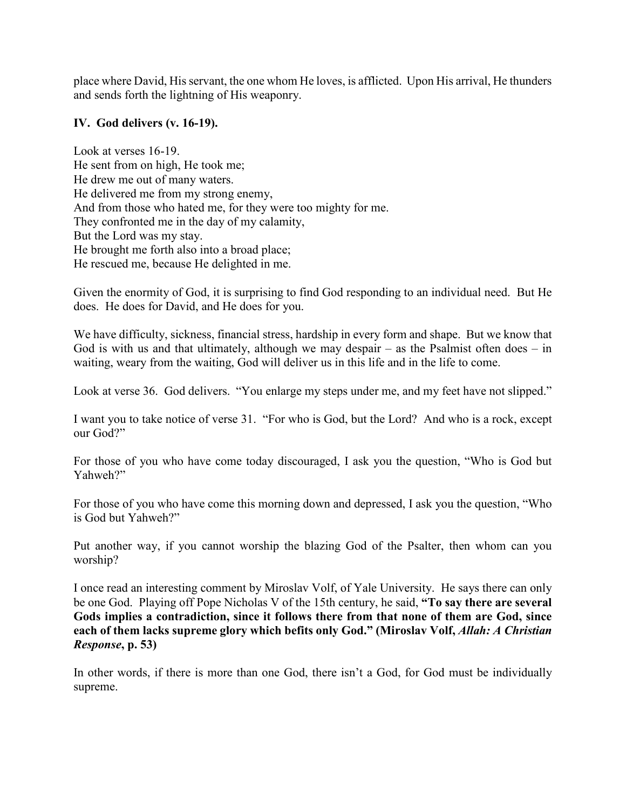place where David, His servant, the one whom He loves, is afflicted. Upon His arrival, He thunders and sends forth the lightning of His weaponry.

#### **IV. God delivers (v. 16-19).**

Look at verses 16-19. He sent from on high, He took me; He drew me out of many waters. He delivered me from my strong enemy, And from those who hated me, for they were too mighty for me. They confronted me in the day of my calamity, But the Lord was my stay. He brought me forth also into a broad place; He rescued me, because He delighted in me.

Given the enormity of God, it is surprising to find God responding to an individual need. But He does. He does for David, and He does for you.

We have difficulty, sickness, financial stress, hardship in every form and shape. But we know that God is with us and that ultimately, although we may despair – as the Psalmist often does – in waiting, weary from the waiting, God will deliver us in this life and in the life to come.

Look at verse 36. God delivers. "You enlarge my steps under me, and my feet have not slipped."

I want you to take notice of verse 31. "For who is God, but the Lord? And who is a rock, except our God?"

For those of you who have come today discouraged, I ask you the question, "Who is God but Yahweh?"

For those of you who have come this morning down and depressed, I ask you the question, "Who is God but Yahweh?"

Put another way, if you cannot worship the blazing God of the Psalter, then whom can you worship?

I once read an interesting comment by Miroslav Volf, of Yale University. He says there can only be one God. Playing off Pope Nicholas V of the 15th century, he said, **"To say there are several Gods implies a contradiction, since it follows there from that none of them are God, since**  each of them lacks supreme glory which befits only God." (Miroslav Volf, *Allah: A Christian Response***, p. 53)** 

In other words, if there is more than one God, there isn't a God, for God must be individually supreme.